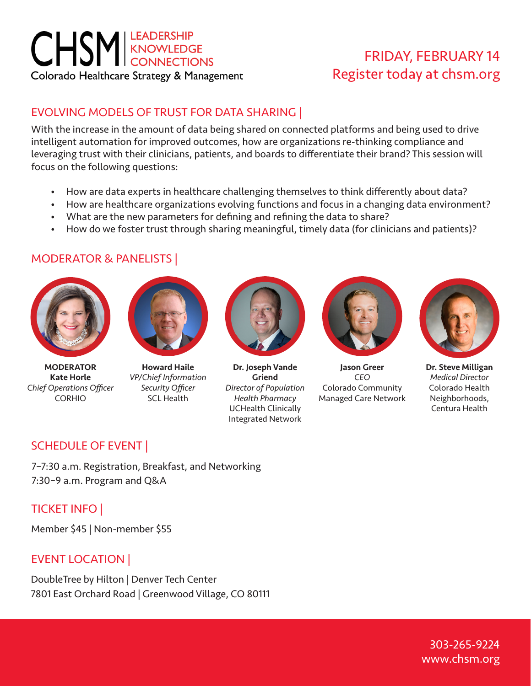# **CHSM** KNOWLEDGE Colorado Healthcare Strategy & Management

## FRIDAY, FEBRUARY 14 Register today at chsm.org

## EVOLVING MODELS OF TRUST FOR DATA SHARING |

With the increase in the amount of data being shared on connected platforms and being used to drive intelligent automation for improved outcomes, how are organizations re-thinking compliance and leveraging trust with their clinicians, patients, and boards to differentiate their brand? This session will focus on the following questions:

- How are data experts in healthcare challenging themselves to think differently about data?
- How are healthcare organizations evolving functions and focus in a changing data environment?
- What are the new parameters for defining and refining the data to share?
- How do we foster trust through sharing meaningful, timely data (for clinicians and patients)?

#### MODERATOR & PANELISTS |



MODERATOR Kate Horle *Chief Operations Officer* CORHIO



Howard Haile *VP/Chief Information Security Officer* SCL Health



Dr. Joseph Vande Griend *Director of Population Health Pharmacy* UCHealth Clinically Integrated Network



Jason Greer *CEO* Colorado Community Managed Care Network



Dr. Steve Milligan *Medical Director* Colorado Health Neighborhoods, Centura Health

## SCHEDULE OF EVENT |

7–7:30 a.m. Registration, Breakfast, and Networking 7:30–9 a.m. Program and Q&A

## TICKET INFO |

Member \$45 | Non-member \$55

## EVENT LOCATION |

DoubleTree by Hilton | Denver Tech Center 7801 East Orchard Road | Greenwood Village, CO 80111

> 303-265-9224 www.chsm.org